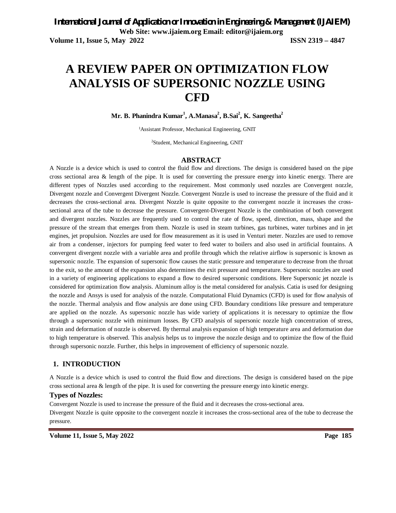# **A REVIEW PAPER ON OPTIMIZATION FLOW ANALYSIS OF SUPERSONIC NOZZLE USING CFD**

**Mr. B. Phanindra Kumar<sup>1</sup> , A.Manasa<sup>2</sup> , B.Sai<sup>2</sup> , K. Sangeetha<sup>2</sup>**

<sup>1</sup>Assistant Professor, Mechanical Engineering, GNIT

2Student, Mechanical Engineering, GNIT

#### **ABSTRACT**

A Nozzle is a device which is used to control the fluid flow and directions. The design is considered based on the pipe cross sectional area & length of the pipe. It is used for converting the pressure energy into kinetic energy. There are different types of Nozzles used according to the requirement. Most commonly used nozzles are Convergent nozzle, Divergent nozzle and Convergent Divergent Nozzle. Convergent Nozzle is used to increase the pressure of the fluid and it decreases the cross-sectional area. Divergent Nozzle is quite opposite to the convergent nozzle it increases the crosssectional area of the tube to decrease the pressure. Convergent-Divergent Nozzle is the combination of both convergent and divergent nozzles. Nozzles are frequently used to control the rate of flow, speed, direction, mass, shape and the pressure of the stream that emerges from them. Nozzle is used in steam turbines, gas turbines, water turbines and in jet engines, jet propulsion. Nozzles are used for flow measurement as it is used in Venturi meter. Nozzles are used to remove air from a condenser, injectors for pumping feed water to feed water to boilers and also used in artificial fountains. A convergent divergent nozzle with a variable area and profile through which the relative airflow is supersonic is known as supersonic nozzle. The expansion of supersonic flow causes the static pressure and temperature to decrease from the throat to the exit, so the amount of the expansion also determines the exit pressure and temperature. Supersonic nozzles are used in a variety of engineering applications to expand a flow to desired supersonic conditions. Here Supersonic jet nozzle is considered for optimization flow analysis. Aluminum alloy is the metal considered for analysis. Catia is used for designing the nozzle and Ansys is used for analysis of the nozzle. Computational Fluid Dynamics (CFD) is used for flow analysis of the nozzle. Thermal analysis and flow analysis are done using CFD. Boundary conditions like pressure and temperature are applied on the nozzle. As supersonic nozzle has wide variety of applications it is necessary to optimize the flow through a supersonic nozzle with minimum losses. By CFD analysis of supersonic nozzle high concentration of stress, strain and deformation of nozzle is observed. By thermal analysis expansion of high temperature area and deformation due to high temperature is observed. This analysis helps us to improve the nozzle design and to optimize the flow of the fluid through supersonic nozzle. Further, this helps in improvement of efficiency of supersonic nozzle.

### **1. INTRODUCTION**

A Nozzle is a device which is used to control the fluid flow and directions. The design is considered based on the pipe cross sectional area & length of the pipe. It is used for converting the pressure energy into kinetic energy.

#### **Types of Nozzles:**

Convergent Nozzle is used to increase the pressure of the fluid and it decreases the cross-sectional area. Divergent Nozzle is quite opposite to the convergent nozzle it increases the cross-sectional area of the tube to decrease the pressure.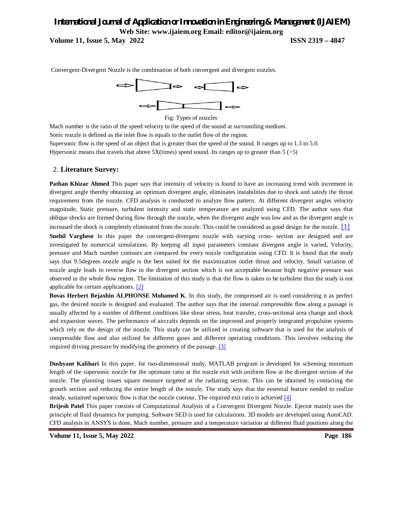### *International Journal of Application or Innovation in Engineering & Management (IJAIEM)* **Web Site: www.ijaiem.org Email: editor@ijaiem.org Volume 11, Issue 5, May 2022 ISSN 2319 – 4847**



Convergent-Divergent Nozzle is the combination of both convergent and divergent nozzles.

Fig: Types of nozzles

Mach number is the ratio of the speed velocity to the speed of the sound at surrounding medium.

Sonic nozzle is defined as the inlet flow is equals to the outlet flow of the region.

Supersonic flow is the speed of an object that is greater than the speed of the sound. It ranges up to 1.3 to 5.0. Hypersonic means that travels that above  $5X$ (times) speed sound. Its ranges up to greater than  $5$  ( $>5$ )

### 2. **Literature Survey:**

**Pathan Khizar Ahmed** This paper says that intensity of velocity is found to have an increasing trend with increment in divergent angle thereby obtaining an optimum divergent angle, eliminates instabilities due to shock and satisfy the thrust requirement from the nozzle. CFD analysis is conducted to analyze flow pattern. At different divergent angles velocity magnitude, Static pressure, turbulent intensity and static temperature are analyzed using CFD. The author says that oblique shocks are formed during flow through the nozzle, when the divergent angle was low and as the divergent angle is increased the shock is completely eliminated from the nozzle. This could be considered as good design for the nozzle. [1] **Snehil Varghese** In this paper the convergent-divergent nozzle with varying cross- section are designed and are investigated by numerical simulations. By keeping all input parameters constant divergent angle is varied, Velocity, pressure and Mach number contours are compared for every nozzle configuration using CFD. It is found that the study says that 9.5degrees nozzle angle is the best suited for the maximization outlet thrust and velocity. Small variation of nozzle angle leads to reverse flow in the divergent section which is not acceptable because high negative pressure was observed in the whole flow region. The limitation of this study is that the flow is taken to be turbulent thus the study is not applicable for certain applications. [2]

**Bovas Herbert Bejaxhin ALPHONSE Mohamed K**. In this study, the compressed air is used considering it as perfect gas, the desired nozzle is designed and evaluated. The author says that the internal compressible flow along a passage is usually affected by a number of different conditions like shear stress, heat transfer, cross-sectional area change and shock and expansion waves. The performance of aircrafts depends on the improved and properly integrated propulsion systems which rely on the design of the nozzle. This study can be utilized in creating software that is used for the analysis of compressible flow and also utilized for different gases and different operating conditions. This involves reducing the required driving pressure by modifying the geometry of the passage. [3]

**Dushyant Kalihari** In this paper, for two-dimensional study, MATLAB program is developed for scheming minimum length of the supersonic nozzle for the optimum ratio at the nozzle exit with uniform flow at the divergent section of the nozzle. The planning issues square measure targeted at the radiating section. This can be obtained by contacting the growth section and reducing the entire length of the nozzle. The study says that the essential feature needed to realize steady, sustained supersonic flow is that the nozzle contour. The required exit ratio is achieved [4]

**Brijesh Patel** This paper consists of Computational Analysis of a Convergent Divergent Nozzle. Ejector mainly uses the principle of fluid dynamics for pumping. Software SED is used for calculations. 3D models are developed using AutoCAD. CFD analysis in ANSYS is done, Mach number, pressure and a temperature variation at different fluid positions along the

**Volume 11, Issue 5, May 2022 Page 186**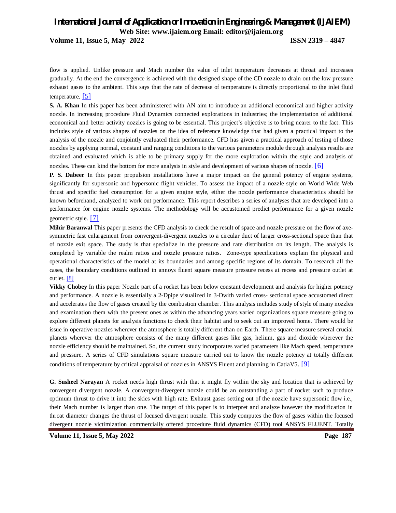**Volume 11, Issue 5, May 2022 ISSN 2319 – 4847**

flow is applied. Unlike pressure and Mach number the value of inlet temperature decreases at throat and increases gradually. At the end the convergence is achieved with the designed shape of the CD nozzle to drain out the low-pressure exhaust gases to the ambient. This says that the rate of decrease of temperature is directly proportional to the inlet fluid temperature.  $\boxed{5}$ 

**S. A. Khan** In this paper has been administered with AN aim to introduce an additional economical and higher activity nozzle. In increasing procedure Fluid Dynamics connected explorations in industries; the implementation of additional economical and better activity nozzles is going to be essential. This project's objective is to bring nearer to the fact. This includes style of various shapes of nozzles on the idea of reference knowledge that had given a practical impact to the analysis of the nozzle and conjointly evaluated their performance. CFD has given a practical approach of testing of those nozzles by applying normal, constant and ranging conditions to the various parameters module through analysis results are obtained and evaluated which is able to be primary supply for the more exploration within the style and analysis of nozzles. These can kind the bottom for more analysis in style and development of various shapes of nozzle. [6]

**P. S. Dabeer** In this paper propulsion installations have a major impact on the general potency of engine systems, significantly for supersonic and hypersonic flight vehicles. To assess the impact of a nozzle style on World Wide Web thrust and specific fuel consumption for a given engine style, either the nozzle performance characteristics should be known beforehand, analyzed to work out performance. This report describes a series of analyses that are developed into a performance for engine nozzle systems. The methodology will be accustomed predict performance for a given nozzle geometric style. [7]

**Mihir Baranwal** This paper presents the CFD analysis to check the result of space and nozzle pressure on the flow of axesymmetric fast enlargement from convergent-divergent nozzles to a circular duct of larger cross-sectional space than that of nozzle exit space. The study is that specialize in the pressure and rate distribution on its length. The analysis is completed by variable the realm ratios and nozzle pressure ratios. Zone-type specifications explain the physical and operational characteristics of the model at its boundaries and among specific regions of its domain. To research all the cases, the boundary conditions outlined in annoys fluent square measure pressure recess at recess and pressure outlet at outlet. [8]

**Vikky Chobey** In this paper Nozzle part of a rocket has been below constant development and analysis for higher potency and performance. A nozzle is essentially a 2-Dpipe visualized in 3-Dwith varied cross- sectional space accustomed direct and accelerates the flow of gases created by the combustion chamber. This analysis includes study of style of many nozzles and examination them with the present ones as within the advancing years varied organizations square measure going to explore different planets for analysis functions to check their habitat and to seek out an improved home. There would be issue in operative nozzles wherever the atmosphere is totally different than on Earth. There square measure several crucial planets wherever the atmosphere consists of the many different gases like gas, helium, gas and dioxide wherever the nozzle efficiency should be maintained. So, the current study incorporates varied parameters like Mach speed, temperature and pressure. A series of CFD simulations square measure carried out to know the nozzle potency at totally different conditions of temperature by critical appraisal of nozzles in ANSYS Fluent and planning in CatiaV5. [9]

**G. Susheel Narayan** A rocket needs high thrust with that it might fly within the sky and location that is achieved by convergent divergent nozzle. A convergent-divergent nozzle could be an outstanding a part of rocket such to produce optimum thrust to drive it into the skies with high rate. Exhaust gases setting out of the nozzle have supersonic flow i.e., their Mach number is larger than one. The target of this paper is to interpret and analyze however the modification in throat diameter changes the thrust of focused divergent nozzle. This study computes the flow of gases within the focused divergent nozzle victimization commercially offered procedure fluid dynamics (CFD) tool ANSYS FLUENT. Totally

**Volume 11, Issue 5, May 2022 Page 187**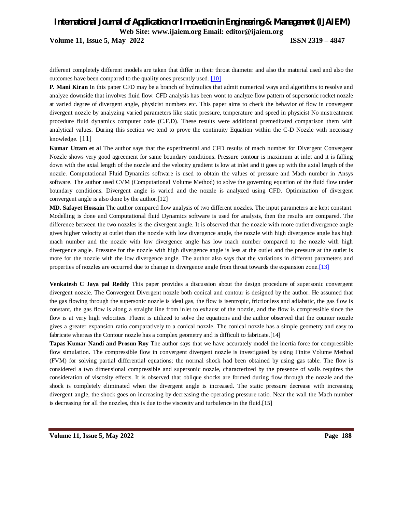**Volume 11, Issue 5, May 2022 ISSN 2319 – 4847**

different completely different models are taken that differ in their throat diameter and also the material used and also the outcomes have been compared to the quality ones presently used. [10]

**P. Mani Kiran** In this paper CFD may be a branch of hydraulics that admit numerical ways and algorithms to resolve and analyze downside that involves fluid flow. CFD analysis has been wont to analyze flow pattern of supersonic rocket nozzle at varied degree of divergent angle, physicist numbers etc. This paper aims to check the behavior of flow in convergent divergent nozzle by analyzing varied parameters like static pressure, temperature and speed in physicist No mistreatment procedure fluid dynamics computer code (C.F.D). These results were additional premeditated comparison them with analytical values. During this section we tend to prove the continuity Equation within the C-D Nozzle with necessary knowledge. [11]

**Kumar Uttam et al** The author says that the experimental and CFD results of mach number for Divergent Convergent Nozzle shows very good agreement for same boundary conditions. Pressure contour is maximum at inlet and it is falling down with the axial length of the nozzle and the velocity gradient is low at inlet and it goes up with the axial length of the nozzle. Computational Fluid Dynamics software is used to obtain the values of pressure and Mach number in Ansys software. The author used CVM (Computational Volume Method) to solve the governing equation of the fluid flow under boundary conditions. Divergent angle is varied and the nozzle is analyzed using CFD. Optimization of divergent convergent angle is also done by the author.[12]

**MD. Safayet Hossain** The author compared flow analysis of two different nozzles. The input parameters are kept constant. Modelling is done and Computational fluid Dynamics software is used for analysis, then the results are compared. The difference between the two nozzles is the divergent angle. It is observed that the nozzle with more outlet divergence angle gives higher velocity at outlet than the nozzle with low divergence angle, the nozzle with high divergence angle has high mach number and the nozzle with low divergence angle has low mach number compared to the nozzle with high divergence angle. Pressure for the nozzle with high divergence angle is less at the outlet and the pressure at the outlet is more for the nozzle with the low divergence angle. The author also says that the variations in different parameters and properties of nozzles are occurred due to change in divergence angle from throat towards the expansion zone.[13]

**Venkatesh C Jaya pal Reddy** This paper provides a discussion about the design procedure of supersonic convergent divergent nozzle. The Convergent Divergent nozzle both conical and contour is designed by the author. He assumed that the gas flowing through the supersonic nozzle is ideal gas, the flow is isentropic, frictionless and adiabatic, the gas flow is constant, the gas flow is along a straight line from inlet to exhaust of the nozzle, and the flow is compressible since the flow is at very high velocities. Fluent is utilized to solve the equations and the author observed that the counter nozzle gives a greater expansion ratio comparatively to a conical nozzle. The conical nozzle has a simple geometry and easy to fabricate whereas the Contour nozzle has a complex geometry and is difficult to fabricate.[14]

**Tapas Kumar Nandi and Prosun Roy** The author says that we have accurately model the inertia force for compressible flow simulation. The compressible flow in convergent divergent nozzle is investigated by using Finite Volume Method (FVM) for solving partial differential equations; the normal shock had been obtained by using gas table. The flow is considered a two dimensional compressible and supersonic nozzle, characterized by the presence of walls requires the consideration of viscosity effects. It is observed that oblique shocks are formed during flow through the nozzle and the shock is completely eliminated when the divergent angle is increased. The static pressure decrease with increasing divergent angle, the shock goes on increasing by decreasing the operating pressure ratio. Near the wall the Mach number is decreasing for all the nozzles, this is due to the viscosity and turbulence in the fluid.[15]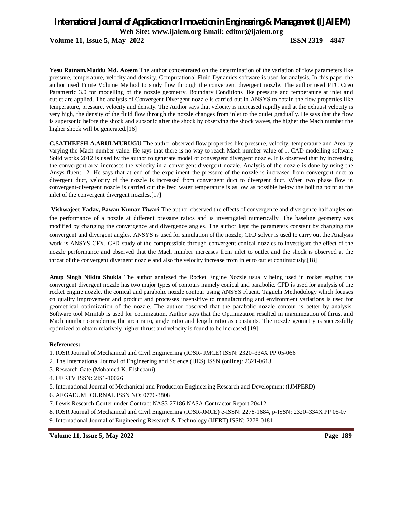**Volume 11, Issue 5, May 2022 ISSN 2319 – 4847**

**Yesu Ratnam.Maddu Md. Azeem** The author concentrated on the determination of the variation of flow parameters like pressure, temperature, velocity and density. Computational Fluid Dynamics software is used for analysis. In this paper the author used Finite Volume Method to study flow through the convergent divergent nozzle. The author used PTC Creo Parametric 3.0 for modelling of the nozzle geometry. Boundary Conditions like pressure and temperature at inlet and outlet are applied. The analysis of Convergent Divergent nozzle is carried out in ANSYS to obtain the flow properties like temperature, pressure, velocity and density. The Author says that velocity is increased rapidly and at the exhaust velocity is very high, the density of the fluid flow through the nozzle changes from inlet to the outlet gradually. He says that the flow is supersonic before the shock and subsonic after the shock by observing the shock waves, the higher the Mach number the higher shock will be generated.[16]

**C.SATHEESH A.ARULMURUGU** The author observed flow properties like pressure, velocity, temperature and Area by varying the Mach number value. He says that there is no way to reach Mach number value of 1. CAD modelling software Solid works 2012 is used by the author to generate model of convergent divergent nozzle. It is observed that by increasing the convergent area increases the velocity in a convergent divergent nozzle. Analysis of the nozzle is done by using the Ansys fluent 12. He says that at end of the experiment the pressure of the nozzle is increased from convergent duct to divergent duct, velocity of the nozzle is increased from convergent duct to divergent duct. When two phase flow in convergent-divergent nozzle is carried out the feed water temperature is as low as possible below the boiling point at the inlet of the convergent divergent nozzles.[17]

**Vishwajeet Yadav, Pawan Kumar Tiwari** The author observed the effects of convergence and divergence half angles on the performance of a nozzle at different pressure ratios and is investigated numerically. The baseline geometry was modified by changing the convergence and divergence angles. The author kept the parameters constant by changing the convergent and divergent angles. ANSYS is used for simulation of the nozzle; CFD solver is used to carry out the Analysis work is ANSYS CFX. CFD study of the compressible through convergent conical nozzles to investigate the effect of the nozzle performance and observed that the Mach number increases from inlet to outlet and the shock is observed at the throat of the convergent divergent nozzle and also the velocity increase from inlet to outlet continuously.[18]

**Anup Singh Nikita Shukla** The author analyzed the Rocket Engine Nozzle usually being used in rocket engine; the convergent divergent nozzle has two major types of contours namely conical and parabolic. CFD is used for analysis of the rocket engine nozzle, the conical and parabolic nozzle contour using ANSYS Fluent. Taguchi Methodology which focuses on quality improvement and product and processes insensitive to manufacturing and environment variations is used for geometrical optimization of the nozzle. The author observed that the parabolic nozzle contour is better by analysis. Software tool Minitab is used for optimization. Author says that the Optimization resulted in maximization of thrust and Mach number considering the area ratio, angle ratio and length ratio as constants. The nozzle geometry is successfully optimized to obtain relatively higher thrust and velocity is found to be increased.[19]

### **References:**

- 1. IOSR Journal of Mechanical and Civil Engineering (IOSR- JMCE) ISSN: 2320–334X PP 05-066
- 2. The International Journal of Engineering and Science (IJES) ISSN (online): 2321-0613
- 3. Research Gate (Mohamed K. Elshebani)
- 4. IJERTV ISSN: 2IS1-10026
- 5. International Journal of Mechanical and Production Engineering Research and Development (IJMPERD)
- 6. AEGAEUM JOURNAL ISSN NO: 0776-3808
- 7. Lewis Research Center under Contract NAS3-27186 NASA Contractor Report 20412
- 8. IOSR Journal of Mechanical and Civil Engineering (IOSR-JMCE) e-ISSN: 2278-1684, p-ISSN: 2320–334X PP 05-07
- 9. International Journal of Engineering Research & Technology (IJERT) ISSN: 2278-0181

**Volume 11, Issue 5, May 2022 Page 189**